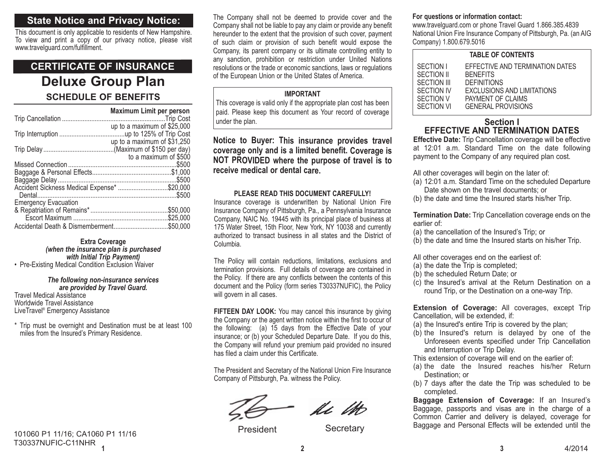## **State Notice and Privacy Notice:**

This document is only applicable to residents of New Hampshire. To view and print a copy of our privacy notice, please visit www.travelguard.com/fulfillment.

## **Deluxe Group Plan SCHEDULE OF BENEFITSCERTIFICATE OF INSURANCE**

|                                             | <b>Maximum Limit per person</b> |
|---------------------------------------------|---------------------------------|
|                                             |                                 |
|                                             | up to a maximum of $$25,000$    |
|                                             |                                 |
|                                             | up to a maximum of $$31,250$    |
|                                             |                                 |
|                                             | to a maximum of \$500           |
|                                             |                                 |
|                                             |                                 |
|                                             |                                 |
| Accident Sickness Medical Expense* \$20,000 |                                 |
|                                             |                                 |
| <b>Emergency Evacuation</b>                 |                                 |
|                                             | .\$50.000                       |
|                                             | \$25,000                        |
|                                             | .\$50,000                       |

**Extra Coverage** *(when the insurance plan is purchased with Initial Trip Payment)* • Pre-Existing Medical Condition Exclusion Waiver

#### *The following non-insurance services are provided by Travel Guard.*

Travel Medical AssistanceWorldwide Travel Assistance LiveTravel® Emergency Assistance

\* Trip must be overnight and Destination must be at least 100 miles from the Insured's Primary Residence.

**1**101060 P1 11/16; CA1060 P1 11/16 T30337NUFIC-C11NHR

The Company shall not be deemed to provide cover and the Company shall not be liable to pay any claim or provide any benefit hereunder to the extent that the provision of such cover, payment of such claim or provision of such benefit would expose the Company, its parent company or its ultimate controlling entity to any sanction, prohibition or restriction under United Nations resolutions or the trade or economic sanctions, laws or regulations of the European Union or the United States of America.

#### **IMPORTANT**

This coverage is valid only if the appropriate plan cost has been paid. Please keep this document as Your record of coverage under the plan.

## **Notice to Buyer: This insurance provides travel coverage only and is a limited benefit. Coverage is NOT PROVIDED where the purpose of travel is to receive medical or dental care.**

#### **PLEASE READ THIS DOCUMENT CAREFULLY!**

Insurance coverage is underwritten by National Union Fire Insurance Company of Pittsburgh, Pa., a Pennsylvania Insurance Company, NAIC No. 19445 with its principal place of business at 175 Water Street, 15th Floor, New York, NY 10038 and currently authorized to transact business in all states and the District ofColumbia.

The Policy will contain reductions, limitations, exclusions and termination provisions. Full details of coverage are contained in the Policy. If there are any conflicts between the contents of this document and the Policy (form series T30337NUFIC), the Policy will govern in all cases.

**FIFTEEN DAY LOOK:** You may cancel this insurance by giving the Company or the agent written notice within the first to occur of the following: (a) 15 days from the Effective Date of your insurance; or (b) your Scheduled Departure Date. If you do this, the Company will refund your premium paid provided no insured has filed a claim under this Certificate.

The President and Secretary of the National Union Fire Insurance Company of Pittsburgh, Pa. witness the Policy.

le M

President Secretary

## **For questions or information contact:**

www.travelguard.com or phone Travel Guard 1.866.385.4839 National Union Fire Insurance Company of Pittsburgh, Pa. (an AIG Company) 1.800.679.5016

#### **TABLE OF CONTENTS**

| SECTION I   | EFFECTIVE AND TERMINATION DATES |
|-------------|---------------------------------|
| SECTION II  | <b>BENEFITS</b>                 |
| SECTION III | <b>DEFINITIONS</b>              |
| SECTION IV  | EXCLUSIONS AND LIMITATIONS      |
| SECTION V   | PAYMENT OF CLAIMS               |
| SECTION VI  | <b>GENERAL PROVISIONS</b>       |
|             |                                 |

## **Section IEFFECTIVE AND TERMINATION DATES**

**Effective Date:** Trip Cancellation coverage will be effective at 12:01 a.m. Standard Time on the date following payment to the Company of any required plan cost.

All other coverages will begin on the later of:

- (a) 12:01 a.m. Standard Time on the scheduled Departure Date shown on the travel documents; or
- (b) the date and time the Insured starts his/her Trip.

**Termination Date:** Trip Cancellation coverage ends on the earlier of:

- (a) the cancellation of the Insured's Trip; or
- (b) the date and time the Insured starts on his/her Trip.

All other coverages end on the earliest of:

- (a) the date the Trip is completed;
- (b) the scheduled Return Date; or
- (c) the Insured's arrival at the Return Destination on a round Trip, or the Destination on a one-way Trip.

**Extension of Coverage:** All coverages, except Trip Cancellation, will be extended, if:

- (a) the Insured's entire Trip is covered by the plan;
- (b) the Insured's return is delayed by one of the Unforeseen events specified under Trip Cancellation and Interruption or Trip Delay.

This extension of coverage will end on the earlier of:

- (a) the date the Insured reaches his/her Return Destination; or
- (b) 7 days after the date the Trip was scheduled to be completed.

**Baggage Extension of Coverage:** If an Insured's Baggage, passports and visas are in the charge of a Common Carrier and delivery is delayed, coverage for Baggage and Personal Effects will be extended until the

**23**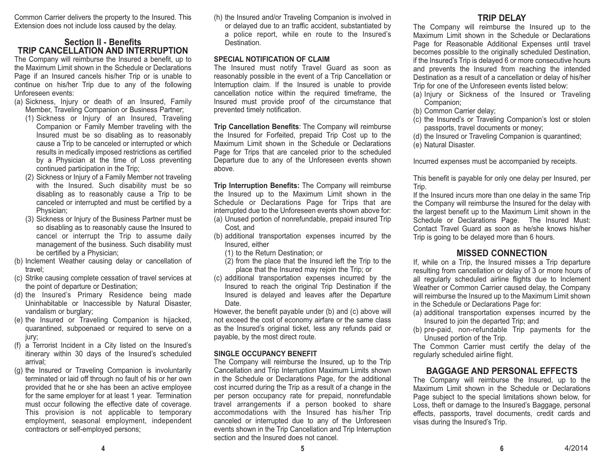Common Carrier delivers the property to the Insured. This Extension does not include loss caused by the delay.

## **Section II - BenefitsTRIP CANCELLATION AND INTERRUPTION**

The Company will reimburse the Insured a benefit, up to the Maximum Limit shown in the Schedule or DeclarationsPage if an Insured cancels his/her Trip or is unable to continue on his/her Trip due to any of the following Unforeseen events:

- (a) Sickness, Injury or death of an Insured, Family Member, Traveling Companion or Business Partner;
	- (1) Sickness or Injury of an Insured, Traveling Companion or Family Member traveling with the Insured must be so disabling as to reasonably cause a Trip to be canceled or interrupted or which results in medically imposed restrictions as certified by a Physician at the time of Loss preventing continued participation in the Trip;
	- (2) Sickness or Injury of a Family Member not traveling with the Insured. Such disability must be so disabling as to reasonably cause a Trip to be canceled or interrupted and must be certified by a Physician;
	- (3) Sickness or Injury of the Business Partner must be so disabling as to reasonably cause the Insured to cancel or interrupt the Trip to assume daily management of the business. Such disability must be certified by a Physician;
- (b) Inclement Weather causing delay or cancellation of travel;
- (c) Strike causing complete cessation of travel services at the point of departure or Destination;
- (d) the Insured's Primary Residence being made Uninhabitable or Inaccessible by Natural Disaster, vandalism or burglary;
- (e) the Insured or Traveling Companion is hijacked, quarantined, subpoenaed or required to serve on a jury;
- (f) a Terrorist Incident in a City listed on the Insured's itinerary within 30 days of the Insured's scheduled arrival;
- (g) the Insured or Traveling Companion is involuntarily terminated or laid off through no fault of his or her own provided that he or she has been an active employee for the same employer for at least 1 year. Termination must occur following the effective date of coverage. This provision is not applicable to temporary employment, seasonal employment, independent contractors or self-employed persons;

(h) the Insured and/or Traveling Companion is involved in or delayed due to an traffic accident, substantiated by a police report, while en route to the Insured's Destination.

#### **SPECIAL NOTIFICATION OF CLAIM**

The Insured must notify Travel Guard as soon as reasonably possible in the event of a Trip Cancellation or Interruption claim. If the Insured is unable to provide cancellation notice within the required timeframe, the Insured must provide proof of the circumstance that prevented timely notification.

**Trip Cancellation Benefits**: The Company will reimburse the Insured for Forfeited, prepaid Trip Cost up to the Maximum Limit shown in the Schedule or Declarations Page for Trips that are canceled prior to the scheduled Departure due to any of the Unforeseen events shown above.

**Trip Interruption Benefits:** The Company will reimburse the Insured up to the Maximum Limit shown in the Schedule or Declarations Page for Trips that are interrupted due to the Unforeseen events shown above for: (a) Unused portion of nonrefundable, prepaid insured Trip

- Cost, and
- (b) additional transportation expenses incurred by the Insured, either
	- (1) to the Return Destination; or
	- (2) from the place that the Insured left the Trip to the place that the Insured may rejoin the Trip; or
- (c) additional transportation expenses incurred by the Insured to reach the original Trip Destination if the Insured is delayed and leaves after the Departure Date.

However, the benefit payable under (b) and (c) above will not exceed the cost of economy airfare or the same class as the Insured's original ticket, less any refunds paid or payable, by the most direct route.

### **SINGLE OCCUPANCY BENEFIT**

The Company will reimburse the Insured, up to the Trip Cancellation and Trip Interruption Maximum Limits shown in the Schedule or Declarations Page, for the additional cost incurred during the Trip as a result of a change in the per person occupancy rate for prepaid, nonrefundable travel arrangements if a person booked to share accommodations with the Insured has his/her Trip canceled or interrupted due to any of the Unforeseen events shown in the Trip Cancellation and Trip Interruption section and the Insured does not cancel.

## **TRIP DELAY**

The Company will reimburse the Insured up to the Maximum Limit shown in the Schedule or DeclarationsPage for Reasonable Additional Expenses until travel becomes possible to the originally scheduled Destination, if the Insured's Trip is delayed 6 or more consecutive hours and prevents the Insured from reaching the intended Destination as a result of a cancellation or delay of his/her Trip for one of the Unforeseen events listed below:

- (a) Injury or Sickness of the Insured or Traveling Companion;
- (b) Common Carrier delay;
- (c) the Insured's or Traveling Companion's lost or stolen passports, travel documents or money;
- (d) the Insured or Traveling Companion is quarantined;
- (e) Natural Disaster.

Incurred expenses must be accompanied by receipts.

This benefit is payable for only one delay per Insured, per Trip.

If the Insured incurs more than one delay in the same Trip the Company will reimburse the Insured for the delay with the largest benefit up to the Maximum Limit shown in the Schedule or Declarations Page. The Insured Must: Contact Travel Guard as soon as he/she knows his/herTrip is going to be delayed more than 6 hours.

## **MISSED CONNECTION**

If, while on a Trip, the Insured misses a Trip departure resulting from cancellation or delay of 3 or more hours of all regularly scheduled airline flights due to Inclement Weather or Common Carrier caused delay, the Company will reimburse the Insured up to the Maximum Limit shown in the Schedule or Declarations Page for:

- (a) additional transportation expenses incurred by the Insured to join the departed Trip; and
- (b) pre-paid, non-refundable Trip payments for the Unused portion of the Trip.

The Common Carrier must certify the delay of the regularly scheduled airline flight.

## **BAGGAGE AND PERSONAL EFFECTS**

The Company will reimburse the Insured, up to the Maximum Limit shown in the Schedule or DeclarationsPage subject to the special limitations shown below, for Loss, theft or damage to the Insured's Baggage, personal effects, passports, travel documents, credit cards and visas during the Insured's Trip.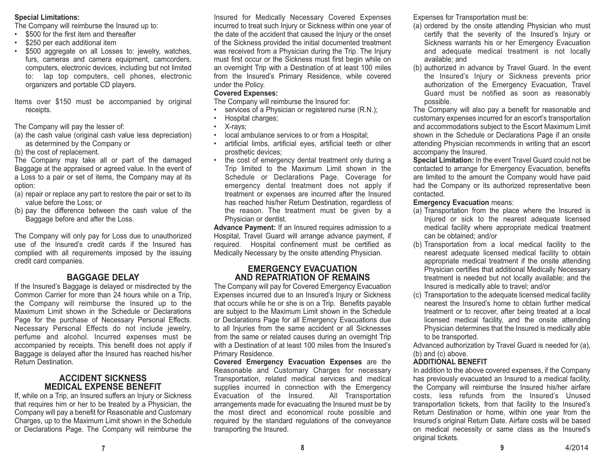#### **Special Limitations:**

The Company will reimburse the Insured up to:

- \$500 for the first item and thereafter
- \$250 per each additional item
- • \$500 aggregate on all Losses to: jewelry, watches, furs, cameras and camera equipment, camcorders, computers, electronic devices, including but not limited to: lap top computers, cell phones, electronic organizers and portable CD players.
- Items over \$150 must be accompanied by original receipts.

The Company will pay the lesser of:

- (a) the cash value (original cash value less depreciation) as determined by the Company or
- (b) the cost of replacement.

The Company may take all or part of the damaged Baggage at the appraised or agreed value. In the event of a Loss to a pair or set of items, the Company may at its option:

- (a) repair or replace any part to restore the pair or set to its value before the Loss; or
- (b) pay the difference between the cash value of the Baggage before and after the Loss.

The Company will only pay for Loss due to unauthorized use of the Insured's credit cards if the Insured hascomplied with all requirements imposed by the issuing credit card companies.

## **BAGGAGE DELAY**

 If the Insured's Baggage is delayed or misdirected by the Common Carrier for more than 24 hours while on a Trip, the Company will reimburse the Insured up to the Maximum Limit shown in the Schedule or DeclarationsPage for the purchase of Necessary Personal Effects. Necessary Personal Effects do not include jewelry, perfume and alcohol. Incurred expenses must be accompanied by receipts. This benefit does not apply if Baggage is delayed after the Insured has reached his/her Return Destination.

## **ACCIDENT SICKNESSMEDICAL EXPENSE BENEFIT**

If, while on a Trip, an Insured suffers an Injury or Sickness that requires him or her to be treated by a Physician, the Company will pay a benefit for Reasonable and Customary Charges, up to the Maximum Limit shown in the Schedule or Declarations Page. The Company will reimburse the Insured for Medically Necessary Covered Expenses incurred to treat such Injury or Sickness within one year of the date of the accident that caused the Injury or the onset of the Sickness provided the initial documented treatment was received from a Physician during the Trip. The Injury must first occur or the Sickness must first begin while on an overnight Trip with a Destination of at least 100 miles from the Insured's Primary Residence, while covered under the Policy.

## **Covered Expenses:**

The Company will reimburse the Insured for:

- services of a Physician or registered nurse (R.N.);
- •Hospital charges;
- •X-rays;
- local ambulance services to or from a Hospital;
- artificial limbs, artificial eyes, artificial teeth or other prosthetic devices;
- • the cost of emergency dental treatment only during a Trip limited to the Maximum Limit shown in the Schedule or Declarations Page. Coverage for emergency dental treatment does not apply if treatment or expenses are incurred after the Insured has reached his/her Return Destination, regardless of the reason. The treatment must be given by a Physician or dentist.

**Advance Payment:** If an Insured requires admission to a Hospital, Travel Guard will arrange advance payment, if required. Hospital confinement must be certified as Medically Necessary by the onsite attending Physician.

## **EMERGENCY EVACUATIONAND REPATRIATION OF REMAINS**

The Company will pay for Covered Emergency Evacuation Expenses incurred due to an Insured's Injury or Sickness that occurs while he or she is on a Trip. Benefits payable are subject to the Maximum Limit shown in the Schedule or Declarations Page for all Emergency Evacuations due to all Injuries from the same accident or all Sicknesses from the same or related causes during an overnight Trip with a Destination of at least 100 miles from the Insured'sPrimary Residence.

**Covered Emergency Evacuation Expenses** are the Reasonable and Customary Charges for necessary Transportation, related medical services and medical supplies incurred in connection with the Emergency Evacuation of the Insured. All Transportation arrangements made for evacuating the Insured must be by the most direct and economical route possible and required by the standard regulations of the conveyance transporting the Insured.

Expenses for Transportation must be:

- (a) ordered by the onsite attending Physician who must certify that the severity of the Insured's Injury or Sickness warrants his or her Emergency Evacuation and adequate medical treatment is not locally available; and
- (b) authorized in advance by Travel Guard. In the event the Insured's Injury or Sickness prevents prior authorization of the Emergency Evacuation, Travel Guard must be notified as soon as reasonably possible.

The Company will also pay a benefit for reasonable and customary expenses incurred for an escort's transportation and accommodations subject to the Escort Maximum Limit shown in the Schedule or Declarations Page if an onsite attending Physician recommends in writing that an escort accompany the Insured.

**Special Limitation:** In the event Travel Guard could not be contacted to arrange for Emergency Evacuation, benefits are limited to the amount the Company would have paid had the Company or its authorized representative been contacted.

#### **Emergency Evacuation** means:

- (a) Transportation from the place where the Insured is Injured or sick to the nearest adequate licensed medical facility where appropriate medical treatment can be obtained; and/or
- (b) Transportation from a local medical facility to the nearest adequate licensed medical facility to obtain appropriate medical treatment if the onsite attending Physician certifies that additional Medically Necessary treatment is needed but not locally available; and the Insured is medically able to travel; and/or
- (c) Transportation to the adequate licensed medical facility nearest the Insured's home to obtain further medicaltreatment or to recover, after being treated at a local licensed medical facility, and the onsite attending Physician determines that the Insured is medically able to be transported.

Advanced authorization by Travel Guard is needed for (a), (b) and (c) above.

## **ADDITIONAL BENEFIT**

In addition to the above covered expenses, if the Company has previously evacuated an Insured to a medical facility, the Company will reimburse the Insured his/her airfare costs, less refunds from the Insured's Unused transportation tickets, from that facility to the Insured's Return Destination or home, within one year from the Insured's original Return Date. Airfare costs will be based on medical necessity or same class as the Insured's original tickets.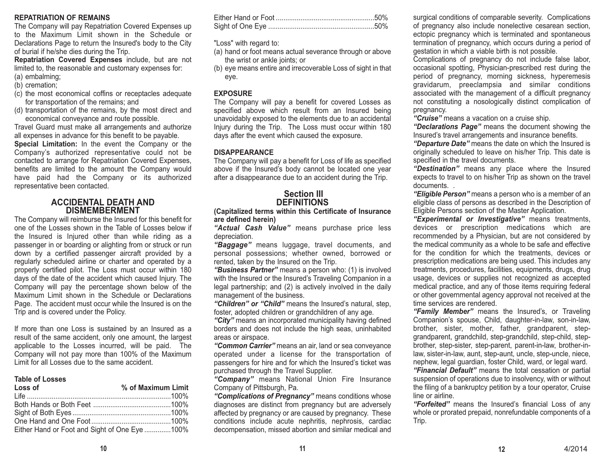#### **REPATRIATION OF REMAINS**

The Company will pay Repatriation Covered Expenses up to the Maximum Limit shown in the Schedule orDeclarations Page to return the Insured's body to the City of burial if he/she dies during the Trip.

**Repatriation Covered Expenses** include, but are not limited to, the reasonable and customary expenses for: (a) embalming;

- (b) cremation;
- (c) the most economical coffins or receptacles adequate for transportation of the remains; and
- (d) transportation of the remains, by the most direct and economical conveyance and route possible.

Travel Guard must make all arrangements and authorize all expenses in advance for this benefit to be payable.

**Special Limitation:** In the event the Company or the Company's authorized representative could not be contacted to arrange for Repatriation Covered Expenses, benefits are limited to the amount the Company would have paid had the Company or its authorized representative been contacted.

#### **ACCIDENTAL DEATH ANDDISMEMBERMENT**

The Company will reimburse the Insured for this benefit for one of the Losses shown in the Table of Losses below ifthe Insured is Injured other than while riding as a passenger in or boarding or alighting from or struck or run down by a certified passenger aircraft provided by a regularly scheduled airline or charter and operated by a properly certified pilot. The Loss must occur within 180 days of the date of the accident which caused Injury. The Company will pay the percentage shown below of the Maximum Limit shown in the Schedule or Declarations Page. The accident must occur while the Insured is on the Trip and is covered under the Policy.

If more than one Loss is sustained by an Insured as a result of the same accident, only one amount, the largest applicable to the Losses incurred, will be paid. The Company will not pay more than 100% of the Maximum Limit for all Losses due to the same accident.

#### **Table of Losses**

| Loss of                                       | % of Maximum Limit |
|-----------------------------------------------|--------------------|
|                                               |                    |
|                                               |                    |
|                                               |                    |
|                                               |                    |
| Either Hand or Foot and Sight of One Eye 100% |                    |

"Loss" with regard to:

- (a) hand or foot means actual severance through or above the wrist or ankle joints; or
- (b) eye means entire and irrecoverable Loss of sight in that eye.

#### **EXPOSURE**

The Company will pay a benefit for covered Losses as specified above which result from an Insured being unavoidably exposed to the elements due to an accidental Injury during the Trip. The Loss must occur within 180 days after the event which caused the exposure.

#### **DISAPPEARANCE**

The Company will pay a benefit for Loss of life as specified above if the Insured's body cannot be located one year after a disappearance due to an accident during the Trip.

## **Section IIIDEFINITIONS**

**(Capitalized terms within this Certificate of Insurance are defined herein)**

*"Actual Cash Value"* means purchase price less depreciation.

*"Baggage"* means luggage, travel documents, and personal possessions; whether owned, borrowed or rented, taken by the Insured on the Trip.

*"Business Partner"* means a person who: (1) is involved with the Insured or the Insured's Traveling Companion in a legal partnership; and (2) is actively involved in the daily management of the business.

*"Children" or "Child"* means the Insured's natural, step, foster, adopted children or grandchildren of any age.

*"City"* means an incorporated municipality having defined borders and does not include the high seas, uninhabited areas or airspace.

*"Common Carrier"* means an air, land or sea conveyance operated under a license for the transportation of passengers for hire and for which the Insured's ticket was purchased through the Travel Supplier.

*"Company"* means National Union Fire Insurance Company of Pittsburgh, Pa.

*"Complications of Pregnancy"* means conditions whose diagnoses are distinct from pregnancy but are adversely affected by pregnancy or are caused by pregnancy. These conditions include acute nephritis, nephrosis, cardiac decompensation, missed abortion and similar medical and

surgical conditions of comparable severity. Complications of pregnancy also include nonelective cesarean section, ectopic pregnancy which is terminated and spontaneous termination of pregnancy, which occurs during a period of gestation in which a viable birth is not possible.

Complications of pregnancy do not include false labor, occasional spotting, Physician-prescribed rest during the period of pregnancy, morning sickness, hyperemesis gravidarum, preeclampsia and similar conditions associated with the management of a difficult pregnancy not constituting a nosologically distinct complication of pregnancy.

*"Cruise"* means a vacation on a cruise ship.

*"Declarations Page"* means the document showing the Insured's travel arrangements and insurance benefits.

*"Departure Date"* means the date on which the Insured is originally scheduled to leave on his/her Trip. This date is specified in the travel documents.

*"Destination"* means any place where the Insured expects to travel to on his/her Trip as shown on the travel documents

*"Eligible Person"* means a person who is a member of an eligible class of persons as described in the Description of Eligible Persons section of the Master Application.

*"Experimental or Investigative"* means treatments, devices or prescription medications which are recommended by a Physician, but are not considered by the medical community as a whole to be safe and effective for the condition for which the treatments, devices or prescription medications are being used. This includes any treatments, procedures, facilities, equipments, drugs, drug usage, devices or supplies not recognized as accepted medical practice, and any of those items requiring federal or other governmental agency approval not received at the time services are rendered.

*"Family Member"* means the Insured's, or Traveling Companion's spouse, Child, daughter-in-law, son-in-law, brother, sister, mother, father, grandparent, stepgrandparent, grandchild, step-grandchild, step-child, stepbrother, step-sister, step-parent, parent-in-law, brother-inlaw, sister-in-law, aunt, step-aunt, uncle, step-uncle, niece, nephew, legal guardian, foster Child, ward, or legal ward.

*"Financial Default"* means the total cessation or partial suspension of operations due to insolvency, with or without the filing of a bankruptcy petition by a tour operator, Cruise line or airline.

*"Forfeited"* means the Insured's financial Loss of any whole or prorated prepaid, nonrefundable components of a Trip.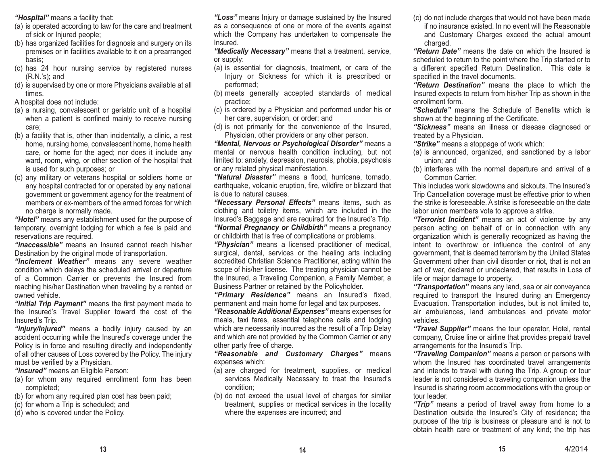*"Hospital"* means a facility that:

- (a) is operated according to law for the care and treatment of sick or Injured people;
- (b) has organized facilities for diagnosis and surgery on its premises or in facilities available to it on a prearranged basis;
- (c) has 24 hour nursing service by registered nurses (R.N.'s); and
- (d) is supervised by one or more Physicians available at all times.
- A hospital does not include:
- (a) a nursing, convalescent or geriatric unit of a hospital when a patient is confined mainly to receive nursing care;
- (b) a facility that is, other than incidentally, a clinic, a rest home, nursing home, convalescent home, home health care, or home for the aged; nor does it include any ward, room, wing, or other section of the hospital that is used for such purposes; or
- (c) any military or veterans hospital or soldiers home or any hospital contracted for or operated by any national government or government agency for the treatment of members or ex-members of the armed forces for whichno charge is normally made.

*"Hotel"* means any establishment used for the purpose of temporary, overnight lodging for which a fee is paid and reservations are required.

*"Inaccessible"* means an Insured cannot reach his/her Destination by the original mode of transportation.

*"Inclement Weather"* means any severe weather condition which delays the scheduled arrival or departure of a Common Carrier or prevents the Insured from reaching his/her Destination when traveling by a rented or owned vehicle.

*"Initial Trip Payment"* means the first payment made to the Insured's Travel Supplier toward the cost of the Insured's Trip.

*"Injury/Injured"* means a bodily injury caused by an accident occurring while the Insured's coverage under the Policy is in force and resulting directly and independently of all other causes of Loss covered by the Policy. The injury must be verified by a Physician.

*"Insured"* means an Eligible Person:

- (a) for whom any required enrollment form has been completed;
- (b) for whom any required plan cost has been paid;
- (c) for whom a Trip is scheduled; and
- (d) who is covered under the Policy.

*"Loss"* means Injury or damage sustained by the Insured as a consequence of one or more of the events against which the Company has undertaken to compensate the Insured.

*"Medically Necessary"* means that a treatment, service, or supply:

- (a) is essential for diagnosis, treatment, or care of the Injury or Sickness for which it is prescribed or performed;
- (b) meets generally accepted standards of medical practice;
- (c) is ordered by a Physician and performed under his or her care, supervision, or order; and
- (d) is not primarily for the convenience of the Insured, Physician, other providers or any other person.

*"Mental, Nervous or Psychological Disorder"* means a mental or nervous health condition including, but not limited to: anxiety, depression, neurosis, phobia, psychosis or any related physical manifestation.

*"Natural Disaster"* means a flood, hurricane, tornado, earthquake, volcanic eruption, fire, wildfire or blizzard that is due to natural causes.

*"Necessary Personal Effects"* means items, such as clothing and toiletry items, which are included in the Insured's Baggage and are required for the Insured's Trip. *"Normal Pregnancy or Childbirth"* means a pregnancy or childbirth that is free of complications or problems.

*"Physician"* means a licensed practitioner of medical, surgical, dental, services or the healing arts including accredited Christian Science Practitioner, acting within the scope of his/her license. The treating physician cannot be the Insured, a Traveling Companion, a Family Member, a Business Partner or retained by the Policyholder.

*"Primary Residence"* means an Insured's fixed, permanent and main home for legal and tax purposes.

*"Reasonable Additional Expenses"* means expenses for meals, taxi fares, essential telephone calls and lodging which are necessarily incurred as the result of a Trip Delay and which are not provided by the Common Carrier or any other party free of charge.

*"Reasonable and Customary Charges"* means expenses which:

- (a) are charged for treatment, supplies, or medical services Medically Necessary to treat the Insured's condition;
- (b) do not exceed the usual level of charges for similar treatment, supplies or medical services in the locality where the expenses are incurred; and

(c) do not include charges that would not have been made if no insurance existed. In no event will the Reasonableand Customary Charges exceed the actual amount charged.

*"Return Date"* means the date on which the Insured is scheduled to return to the point where the Trip started or to a different specified Return Destination. This date is specified in the travel documents.

*"Return Destination"* means the place to which the Insured expects to return from his/her Trip as shown in the enrollment form.

*"Schedule"* means the Schedule of Benefits which is shown at the beginning of the Certificate.

*"Sickness"* means an illness or disease diagnosed or treated by a Physician.

*"Strike"* means a stoppage of work which:

- (a) is announced, organized, and sanctioned by a labor union; and
- (b) interferes with the normal departure and arrival of a Common Carrier.

This includes work slowdowns and sickouts. The Insured's Trip Cancellation coverage must be effective prior to when the strike is foreseeable. A strike is foreseeable on the datelabor union members vote to approve a strike.

*"Terrorist Incident"* means an act of violence by any person acting on behalf of or in connection with any organization which is generally recognized as having the intent to overthrow or influence the control of any government, that is deemed terrorism by the United States Government other than civil disorder or riot, that is not an act of war, declared or undeclared, that results in Loss of life or major damage to property.

*"Transportation"* means any land, sea or air conveyance required to transport the Insured during an Emergency Evacuation. Transportation includes, but is not limited to, air ambulances, land ambulances and private motor vehicles.

*"Travel Supplier"* means the tour operator, Hotel, rental company, Cruise line or airline that provides prepaid travel arrangements for the Insured's Trip.

*"Traveling Companion"* means a person or persons with whom the Insured has coordinated travel arrangements and intends to travel with during the Trip. A group or tour leader is not considered a traveling companion unless the Insured is sharing room accommodations with the group or tour leader.

*"Trip"* means a period of travel away from home to a Destination outside the Insured's City of residence; the purpose of the trip is business or pleasure and is not to obtain health care or treatment of any kind; the trip has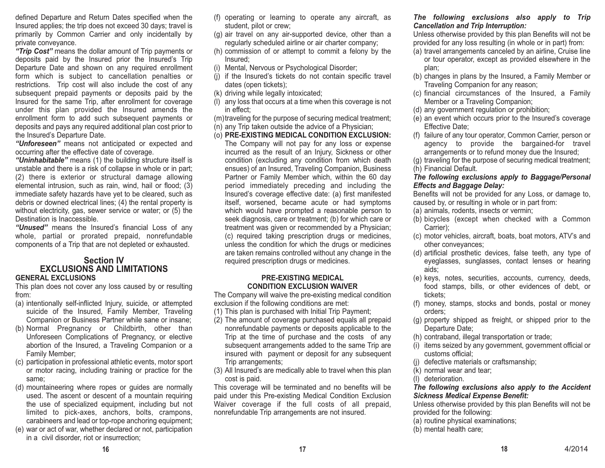defined Departure and Return Dates specified when the Insured applies; the trip does not exceed 30 days; travel is primarily by Common Carrier and only incidentally by private conveyance.

*"Trip Cost"* means the dollar amount of Trip payments or deposits paid by the Insured prior the Insured's Trip Departure Date and shown on any required enrollment form which is subject to cancellation penalties or restrictions. Trip cost will also include the cost of any subsequent prepaid payments or deposits paid by the Insured for the same Trip, after enrollment for coverage under this plan provided the Insured amends the enrollment form to add such subsequent payments or deposits and pays any required additional plan cost prior to the Insured's Departure Date.

*"Unforeseen"* means not anticipated or expected and occurring after the effective date of coverage.

*"Uninhabitable"* means (1) the building structure itself is unstable and there is a risk of collapse in whole or in part; (2) there is exterior or structural damage allowing elemental intrusion, such as rain, wind, hail or flood; (3) immediate safety hazards have yet to be cleared, such as debris or downed electrical lines; (4) the rental property is without electricity, gas, sewer service or water; or (5) the Destination is Inaccessible.

*"Unused"* means the Insured's financial Loss of any whole, partial or prorated prepaid, nonrefundable components of a Trip that are not depleted or exhausted.

#### **Section IV EXCLUSIONS AND LIMITATIONSGENERAL EXCLUSIONS**

This plan does not cover any loss caused by or resulting from:

- (a) intentionally self-inflicted Injury, suicide, or attempted suicide of the Insured, Family Member, Traveling Companion or Business Partner while sane or insane;
- (b) Normal Pregnancy or Childbirth, other than Unforeseen Complications of Pregnancy, or elective abortion of the Insured, a Traveling Companion or a Family Member;
- (c) participation in professional athletic events, motor sport or motor racing, including training or practice for the same;
- (d) mountaineering where ropes or guides are normally used. The ascent or descent of a mountain requiring the use of specialized equipment, including but not limited to pick-axes, anchors, bolts, crampons, carabineers and lead or top-rope anchoring equipment;
- (e) war or act of war, whether declared or not, participation in a civil disorder, riot or insurrection;
- (f) operating or learning to operate any aircraft, as student, pilot or crew;
- (g) air travel on any air-supported device, other than a regularly scheduled airline or air charter company;
- (h) commission of or attempt to commit a felony by the Insured;
- (i) Mental, Nervous or Psychological Disorder;
- (j) if the Insured's tickets do not contain specific travel dates (open tickets);
- (k) driving while legally intoxicated;
- (l) any loss that occurs at a time when this coverage is not in effect;
- (m)traveling for the purpose of securing medical treatment;
- (n) any Trip taken outside the advice of a Physician;
- (o) **PRE-EXISTING MEDICAL CONDITION EXCLUSION:** The Company will not pay for any loss or expense incurred as the result of an Injury, Sickness or other condition (excluding any condition from which death ensues) of an Insured, Traveling Companion, Business Partner or Family Member which, within the 60 day period immediately preceding and including the Insured's coverage effective date: (a) first manifested itself, worsened, became acute or had symptoms which would have prompted a reasonable person to seek diagnosis, care or treatment; (b) for which care or treatment was given or recommended by a Physician; (c) required taking prescription drugs or medicines, unless the condition for which the drugs or medicines are taken remains controlled without any change in the required prescription drugs or medicines.

#### **PRE-EXISTING MEDICAL CONDITION EXCLUSION WAIVER**

The Company will waive the pre-existing medical condition exclusion if the following conditions are met:

- (1) This plan is purchased with Initial Trip Payment;
- (2) The amount of coverage purchased equals all prepaid nonrefundable payments or deposits applicable to the Trip at the time of purchase and the costs of any subsequent arrangements added to the same Trip are insured with payment or deposit for any subsequent Trip arrangements;
- (3) All Insured's are medically able to travel when this plan cost is paid.

This coverage will be terminated and no benefits will be paid under this Pre-existing Medical Condition Exclusion Waiver coverage if the full costs of all prepaid, nonrefundable Trip arrangements are not insured.

#### *The following exclusions also apply to Trip Cancellation and Trip Interruption:*

Unless otherwise provided by this plan Benefits will not be provided for any loss resulting (in whole or in part) from:

- (a) travel arrangements canceled by an airline, Cruise line or tour operator, except as provided elsewhere in the plan;
- (b) changes in plans by the Insured, a Family Member or Traveling Companion for any reason;
- (c) financial circumstances of the Insured, a Family Member or a Traveling Companion;
- (d) any government regulation or prohibition;
- (e) an event which occurs prior to the Insured's coverage Effective Date;
- (f) failure of any tour operator, Common Carrier, person or agency to provide the bargained-for travel arrangements or to refund money due the Insured;

(g) traveling for the purpose of securing medical treatment; (h) Financial Default.

#### *The following exclusions apply to Baggage/Personal Effects and Baggage Delay:*

Benefits will not be provided for any Loss, or damage to, caused by, or resulting in whole or in part from:

- (a) animals, rodents, insects or vermin;
- (b) bicycles (except when checked with a Common Carrier);
- (c) motor vehicles, aircraft, boats, boat motors, ATV's and other conveyances;
- (d) artificial prosthetic devices, false teeth, any type of eyeglasses, sunglasses, contact lenses or hearing aids;
- (e) keys, notes, securities, accounts, currency, deeds, food stamps, bills, or other evidences of debt, or tickets;
- (f) money, stamps, stocks and bonds, postal or money orders;
- (g) property shipped as freight, or shipped prior to the Departure Date;
- (h) contraband, illegal transportation or trade;
- (i) items seized by any government, government official or customs official;
- (j) defective materials or craftsmanship;
- (k) normal wear and tear;
- (l) deterioration.

#### *The following exclusions also apply to the Accident Sickness Medical Expense Benefit:*

Unless otherwise provided by this plan Benefits will not be provided for the following:

- (a) routine physical examinations;
- (b) mental health care;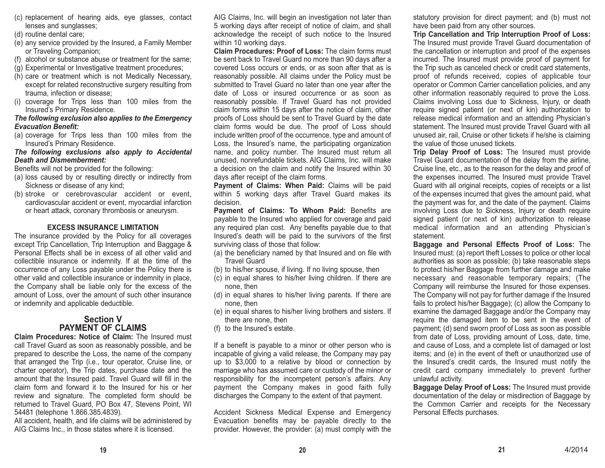- (c) replacement of hearing aids, eye glasses, contact lenses and sunglasses;
- (d) routine dental care;
- (e) any service provided by the Insured, a Family Member or Traveling Companion;
- (f) alcohol or substance abuse or treatment for the same;
- (g) Experimental or Investigative treatment procedures;
- (h) care or treatment which is not Medically Necessary, except for related reconstructive surgery resulting from trauma, infection or disease;
- (i) coverage for Trips less than 100 miles from the Insured's Primary Residence.

#### *The following exclusion also applies to the Emergency Evacuation Benefit:*

(a) coverage for Trips less than 100 miles from the Insured's Primary Residence.

*The following exclusions also apply to Accidental Death and Dismemberment:*

Benefits will not be provided for the following:

- (a) loss caused by or resulting directly or indirectly from Sickness or disease of any kind;
- (b) stroke or cerebrovascular accident or event, cardiovascular accident or event, myocardial infarction or heart attack, coronary thrombosis or aneurysm.

#### **EXCESS INSURANCE LIMITATION**

The insurance provided by the Policy for all coverages except Trip Cancellation, Trip Interruption and Baggage & Personal Effects shall be in excess of all other valid andcollectible insurance or indemnity. If at the time of the occurrence of any Loss payable under the Policy there is other valid and collectible insurance or indemnity in place, the Company shall be liable only for the excess of the amount of Loss, over the amount of such other insurance or indemnity and applicable deductible.

## **Section VPAYMENT OF CLAIMS**

**Claim Procedures: Notice of Claim:** The Insured must call Travel Guard as soon as reasonably possible, and be prepared to describe the Loss, the name of the company that arranged the Trip (i.e., tour operator, Cruise line, or charter operator), the Trip dates, purchase date and the amount that the Insured paid. Travel Guard will fill in the claim form and forward it to the Insured for his or herreview and signature. The completed form should be returned to Travel Guard, PO Box 47, Stevens Point, WI 54481 (telephone 1.866.385.4839).

All accident, health, and life claims will be administered by AIG Claims Inc., in those states where it is licensed.

AIG Claims, Inc. will begin an investigation not later than 5 working days after receipt of notice of claim, and shall acknowledge the receipt of such notice to the Insured within 10 working days.

**Claim Procedures: Proof of Loss:** The claim forms must be sent back to Travel Guard no more than 90 days after a covered Loss occurs or ends, or as soon after that as is reasonably possible. All claims under the Policy must be submitted to Travel Guard no later than one year after the date of Loss or insured occurrence or as soon asreasonably possible. If Travel Guard has not provided claim forms within 15 days after the notice of claim, other proofs of Loss should be sent to Travel Guard by the date claim forms would be due. The proof of Loss should include written proof of the occurrence, type and amount of Loss, the Insured's name, the participating organization name, and policy number. The Insured must return all unused, nonrefundable tickets. AIG Claims, Inc. will make a decision on the claim and notify the Insured within 30 days after receipt of the claim forms.

**Payment of Claims: When Paid:** Claims will be paid within 5 working days after Travel Guard makes its decision.

**Payment of Claims: To Whom Paid:** Benefits are payable to the Insured who applied for coverage and paid any required plan cost. Any benefits payable due to that Insured's death will be paid to the survivors of the first surviving class of those that follow:

- (a) the beneficiary named by that Insured and on file with Travel Guard
- (b) to his/her spouse, if living. If no living spouse, then
- (c) in equal shares to his/her living children. If there are none, then
- (d) in equal shares to his/her living parents. If there are none, then
- (e) in equal shares to his/her living brothers and sisters. If there are none, then
- (f) to the Insured's estate.

If a benefit is payable to a minor or other person who is incapable of giving a valid release, the Company may pay up to \$3,000 to a relative by blood or connection by marriage who has assumed care or custody of the minor or responsibility for the incompetent person's affairs. Any payment the Company makes in good faith fully discharges the Company to the extent of that payment.

Accident Sickness Medical Expense and Emergency Evacuation benefits may be payable directly to the provider. However, the provider: (a) must comply with the statutory provision for direct payment; and (b) must not have been paid from any other sources.

**Trip Cancellation and Trip Interruption Proof of Loss:** The Insured must provide Travel Guard documentation of the cancellation or interruption and proof of the expenses incurred. The Insured must provide proof of payment for the Trip such as canceled check or credit card statements, proof of refunds received, copies of applicable tour operator or Common Carrier cancellation policies, and any other information reasonably required to prove the Loss. Claims involving Loss due to Sickness, Injury, or death require signed patient (or next of kin) authorization to release medical information and an attending Physician's statement. The Insured must provide Travel Guard with all unused air, rail, Cruise or other tickets if he/she is claiming the value of those unused tickets.

**Trip Delay Proof of Loss:** The Insured must provide Travel Guard documentation of the delay from the airline, Cruise line, etc., as to the reason for the delay and proof of the expenses incurred. The Insured must provide Travel Guard with all original receipts, copies of receipts or a list of the expenses incurred that gives the amount paid, what the payment was for, and the date of the payment. Claims involving Loss due to Sickness, Injury or death require signed patient (or next of kin) authorization to release medical information and an attending Physician's statement.

**Baggage and Personal Effects Proof of Loss:** The Insured must: (a) report theft Losses to police or other local authorities as soon as possible; (b) take reasonable steps to protect his/her Baggage from further damage and make necessary and reasonable temporary repairs; (The Company will reimburse the Insured for those expenses. The Company will not pay for further damage if the Insured fails to protect his/her Baggage); (c) allow the Company to examine the damaged Baggage and/or the Company may require the damaged item to be sent in the event of payment; (d) send sworn proof of Loss as soon as possible from date of Loss, providing amount of Loss, date, time, and cause of Loss, and a complete list of damaged or lost items; and (e) in the event of theft or unauthorized use of the Insured's credit cards, the Insured must notify the credit card company immediately to prevent further unlawful activity.

**Baggage Delay Proof of Loss:** The Insured must provide documentation of the delay or misdirection of Baggage by the Common Carrier and receipts for the Necessary Personal Effects purchases.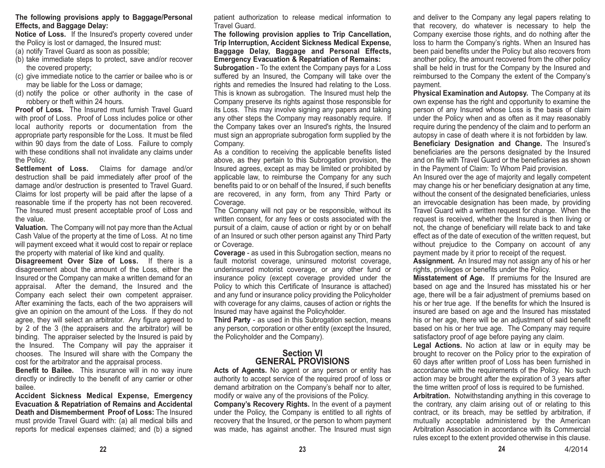#### **The following provisions apply to Baggage/Personal Effects, and Baggage Delay:**

**Notice of Loss.** If the Insured's property covered under the Policy is lost or damaged, the Insured must:

- (a) notify Travel Guard as soon as possible;
- (b) take immediate steps to protect, save and/or recover the covered property;
- (c) give immediate notice to the carrier or bailee who is or may be liable for the Loss or damage;
- (d) notify the police or other authority in the case of robbery or theft within 24 hours.

**Proof of Loss.** The Insured must furnish Travel Guardwith proof of Loss. Proof of Loss includes police or other local authority reports or documentation from the appropriate party responsible for the Loss. It must be filed within 90 days from the date of Loss. Failure to comply with these conditions shall not invalidate any claims under the Policy.

**Settlement of Loss.** Claims for damage and/or destruction shall be paid immediately after proof of the damage and/or destruction is presented to Travel Guard. Claims for lost property will be paid after the lapse of a reasonable time if the property has not been recovered. The Insured must present acceptable proof of Loss and the value.

**Valuation.** The Company will not pay more than the Actual Cash Value of the property at the time of Loss. At no time will payment exceed what it would cost to repair or replace the property with material of like kind and quality.

**Disagreement Over Size of Loss.** If there is a disagreement about the amount of the Loss, either the Insured or the Company can make a written demand for an appraisal. After the demand, the Insured and the Company each select their own competent appraiser. After examining the facts, each of the two appraisers will give an opinion on the amount of the Loss. If they do not agree, they will select an arbitrator. Any figure agreed to by 2 of the 3 (the appraisers and the arbitrator) will be binding. The appraiser selected by the Insured is paid by the Insured. The Company will pay the appraiser it chooses. The Insured will share with the Company the cost for the arbitrator and the appraisal process.

**Benefit to Bailee.** This insurance will in no way inure directly or indirectly to the benefit of any carrier or other bailee.

**Accident Sickness Medical Expense, Emergency Evacuation & Repatriation of Remains and Accidental Death and Dismemberment Proof of Loss:** The Insuredmust provide Travel Guard with: (a) all medical bills and reports for medical expenses claimed; and (b) a signed

patient authorization to release medical information to Travel Guard.

#### **The following provision applies to Trip Cancellation, Trip Interruption, Accident Sickness Medical Expense, Baggage Delay, Baggage and Personal Effects, Emergency Evacuation & Repatriation of Remains:**

**Subrogation** - To the extent the Company pays for a Loss suffered by an Insured, the Company will take over the rights and remedies the Insured had relating to the Loss. This is known as subrogation. The Insured must help the Company preserve its rights against those responsible for its Loss. This may involve signing any papers and taking any other steps the Company may reasonably require. If the Company takes over an Insured's rights, the Insured must sign an appropriate subrogation form supplied by the Company.

As a condition to receiving the applicable benefits listed above, as they pertain to this Subrogation provision, the Insured agrees, except as may be limited or prohibited by applicable law, to reimburse the Company for any such benefits paid to or on behalf of the Insured, if such benefits are recovered, in any form, from any Third Party or Coverage.

The Company will not pay or be responsible, without its written consent, for any fees or costs associated with the pursuit of a claim, cause of action or right by or on behalf of an Insured or such other person against any Third Party or Coverage.

**Coverage** - as used in this Subrogation section, means no fault motorist coverage, uninsured motorist coverage, underinsured motorist coverage, or any other fund or insurance policy (except coverage provided under the Policy to which this Certificate of Insurance is attached) and any fund or insurance policy providing the Policyholder with coverage for any claims, causes of action or rights the Insured may have against the Policyholder.

**Third Party** - as used in this Subrogation section, means any person, corporation or other entity (except the Insured, the Policyholder and the Company).

## **Section VIGENERAL PROVISIONS**

**Acts of Agents.** No agent or any person or entity has authority to accept service of the required proof of loss or demand arbitration on the Company's behalf nor to alter, modify or waive any of the provisions of the Policy.

**Company's Recovery Rights.** In the event of a payment under the Policy, the Company is entitled to all rights of recovery that the Insured, or the person to whom payment was made, has against another. The Insured must sign

and deliver to the Company any legal papers relating to that recovery, do whatever is necessary to help the Company exercise those rights, and do nothing after the loss to harm the Company's rights. When an Insured has been paid benefits under the Policy but also recovers from another policy, the amount recovered from the other policy shall be held in trust for the Company by the Insured and reimbursed to the Company the extent of the Company's payment.

**Physical Examination and Autopsy.** The Company at its own expense has the right and opportunity to examine the person of any Insured whose Loss is the basis of claim under the Policy when and as often as it may reasonably require during the pendency of the claim and to perform an autopsy in case of death where it is not forbidden by law. **Beneficiary Designation and Change.** The Insured's beneficiaries are the persons designated by the Insured and on file with Travel Guard or the beneficiaries as shownin the Payment of Claim: To Whom Paid provision.

An Insured over the age of majority and legally competent may change his or her beneficiary designation at any time, without the consent of the designated beneficiaries, unless an irrevocable designation has been made, by providing Travel Guard with a written request for change. When the request is received, whether the Insured is then living or not, the change of beneficiary will relate back to and take effect as of the date of execution of the written request, but without prejudice to the Company on account of any payment made by it prior to receipt of the request.

**Assignment.** An Insured may not assign any of his or her rights, privileges or benefits under the Policy.

**Misstatement of Age.** If premiums for the Insured are based on age and the Insured has misstated his or her age, there will be a fair adjustment of premiums based on his or her true age. If the benefits for which the Insured is insured are based on age and the Insured has misstated his or her age, there will be an adjustment of said benefit based on his or her true age. The Company may require satisfactory proof of age before paying any claim.

**Legal Actions.** No action at law or in equity may be brought to recover on the Policy prior to the expiration of 60 days after written proof of Loss has been furnished in accordance with the requirements of the Policy. No such action may be brought after the expiration of 3 years after the time written proof of loss is required to be furnished.

**Arbitration.** Notwithstanding anything in this coverage to the contrary, any claim arising out of or relating to this contract, or its breach, may be settled by arbitration, if mutually acceptable administered by the American Arbitration Association in accordance with its Commercialrules except to the extent provided otherwise in this clause.